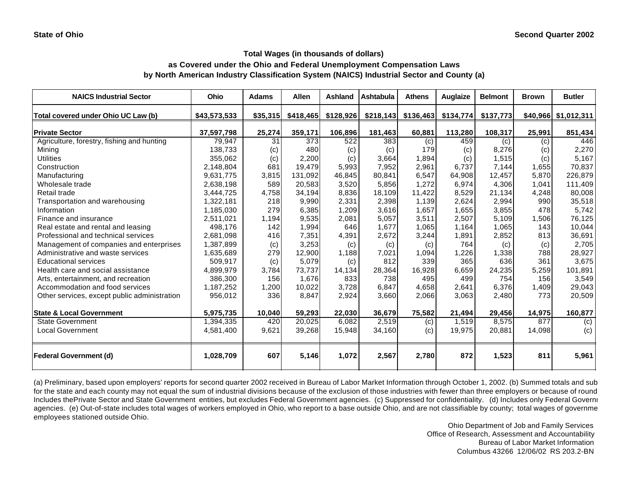# **as Covered under the Ohio and Federal Unemployment Compensation Laws by North American Industry Classification System (NAICS) Industrial Sector and County (a)**

| <b>NAICS Industrial Sector</b>               | Ohio         | <b>Adams</b> | <b>Allen</b> | <b>Ashland</b> | Ashtabula | <b>Athens</b>         | <b>Auglaize</b> | <b>Belmont</b> | <b>Brown</b> | <b>Butler</b>        |
|----------------------------------------------|--------------|--------------|--------------|----------------|-----------|-----------------------|-----------------|----------------|--------------|----------------------|
| Total covered under Ohio UC Law (b)          | \$43,573,533 | \$35,315     | \$418,465    | \$128,926      |           | $$218,143$ $$136,463$ | \$134,774       | \$137,773      |              | \$40,966 \$1,012,311 |
| <b>Private Sector</b>                        | 37,597,798   | 25,274       | 359,171      | 106,896        | 181,463   | 60,881                | 113,280         | 108,317        | 25,991       | 851,434              |
| Agriculture, forestry, fishing and hunting   | 79,947       | 31           | 373          | 522            | 383       | (c)                   | 459             | (c)            | (c)          | 446                  |
| Minina                                       | 138,733      | (c)          | 480          | (c)            | (c)       | 179                   | (c)             | 8,276          | (c)          | 2,270                |
| <b>Utilities</b>                             | 355,062      | (c)          | 2,200        | (c)            | 3,664     | 1,894                 | (c)             | 1,515          | (c)          | 5,167                |
| Construction                                 | 2,148,804    | 681          | 19,479       | 5,993          | 7,952     | 2,961                 | 6,737           | 7,144          | 1,655        | 70,837               |
| Manufacturing                                | 9,631,775    | 3,815        | 131,092      | 46,845         | 80,841    | 6,547                 | 64,908          | 12,457         | 5,870        | 226,879              |
| Wholesale trade                              | 2,638,198    | 589          | 20,583       | 3,520          | 5,856     | 1.272                 | 6.974           | 4,306          | 1.041        | 111,409              |
| Retail trade                                 | 3,444,725    | 4,758        | 34,194       | 8,836          | 18,109    | 11,422                | 8,529           | 21,134         | 4,248        | 80,008               |
| Transportation and warehousing               | 1,322,181    | 218          | 9,990        | 2,331          | 2,398     | 1,139                 | 2,624           | 2,994          | 990          | 35,518               |
| Information                                  | 1,185,030    | 279          | 6,385        | 1,209          | 3,616     | 1,657                 | 1,655           | 3,855          | 478          | 5,742                |
| Finance and insurance                        | 2,511,021    | 1,194        | 9,535        | 2,081          | 5,057     | 3,511                 | 2,507           | 5,109          | 1,506        | 76,125               |
| Real estate and rental and leasing           | 498,176      | 142          | 1,994        | 646            | 1,677     | 1,065                 | 1,164           | 1,065          | 143          | 10,044               |
| Professional and technical services          | 2,681,098    | 416          | 7,351        | 4,391          | 2,672     | 3,244                 | 1,891           | 2,852          | 813          | 36,691               |
| Management of companies and enterprises      | 1,387,899    | (c)          | 3,253        | (c)            | (c)       | (c)                   | 764             | (c)            | (c)          | 2,705                |
| Administrative and waste services            | 1,635,689    | 279          | 12,900       | 1,188          | 7,021     | 1,094                 | 1,226           | 1,338          | 788          | 28,927               |
| <b>Educational services</b>                  | 509,917      | (c)          | 5,079        | (c)            | 812       | 339                   | 365             | 636            | 361          | 3,675                |
| Health care and social assistance            | 4,899,979    | 3,784        | 73,737       | 14,134         | 28,364    | 16.928                | 6,659           | 24,235         | 5,259        | 101,891              |
| Arts, entertainment, and recreation          | 386,300      | 156          | 1,676        | 833            | 738       | 495                   | 499             | 754            | 156          | 3,549                |
| Accommodation and food services              | 1,187,252    | 1,200        | 10,022       | 3,728          | 6,847     | 4,658                 | 2,641           | 6,376          | 1,409        | 29,043               |
| Other services, except public administration | 956,012      | 336          | 8,847        | 2,924          | 3,660     | 2,066                 | 3,063           | 2,480          | 773          | 20,509               |
| <b>State &amp; Local Government</b>          | 5,975,735    | 10,040       | 59,293       | 22.030         | 36.679    | 75,582                | 21,494          | 29,456         | 14,975       | 160,877              |
| <b>State Government</b>                      | 1,394,335    | 420          | 20,025       | 6,082          | 2,519     | (c)                   | 1,519           | 8,575          | 877          | (c)                  |
| <b>Local Government</b>                      | 4,581,400    | 9,621        | 39,268       | 15,948         | 34,160    | (c)                   | 19,975          | 20,881         | 14,098       | (c)                  |
| <b>Federal Government (d)</b>                | 1,028,709    | 607          | 5,146        | 1,072          | 2,567     | 2,780                 | 872             | 1,523          | 811          | 5,961                |

(a) Preliminary, based upon employers' reports for second quarter 2002 received in Bureau of Labor Market Information through October 1, 2002. (b) Summed totals and sub for the state and each county may not equal the sum of industrial divisions because of the exclusion of those industries with fewer than three employers or because of round Includes thePrivate Sector and State Government entities, but excludes Federal Government agencies. (c) Suppressed for confidentiality. (d) Includes only Federal Government agencies. (e) Out-of-state includes total wages of workers employed in Ohio, who report to a base outside Ohio, and are not classifiable by county; total wages of governme employees stationed outside Ohio.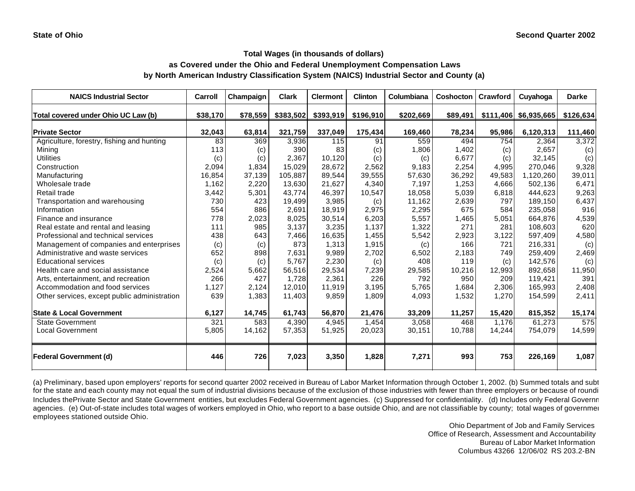**as Covered under the Ohio and Federal Unemployment Compensation Laws**

**by North American Industry Classification System (NAICS) Industrial Sector and County (a)**

| <b>NAICS Industrial Sector</b>               | Carroll  | Champaign | <b>Clark</b> | <b>Clermont</b> | <b>Clinton</b> | Columbiana | Coshocton   Crawford |        | Cuyahoga                | <b>Darke</b> |
|----------------------------------------------|----------|-----------|--------------|-----------------|----------------|------------|----------------------|--------|-------------------------|--------------|
| Total covered under Ohio UC Law (b)          | \$38.170 | \$78,559  | \$383,502    | \$393,919       | \$196,910      | \$202,669  | \$89,491             |        | $$111,406$ $$6,935,665$ | \$126,634    |
| <b>Private Sector</b>                        | 32,043   | 63,814    | 321,759      | 337,049         | 175,434        | 169,460    | 78,234               | 95,986 | 6,120,313               | 111,460      |
| Agriculture, forestry, fishing and hunting   | 83       | 369       | 3,936        | 115             | 91             | 559        | 494                  | 754    | 2,364                   | 3,372        |
| Mining                                       | 113      | (c)       | 390          | 83              | (c)            | 1,806      | 1,402                | (c)    | 2,657                   | (c)          |
| <b>Utilities</b>                             | (c)      | (c)       | 2,367        | 10,120          | (c)            | (c)        | 6,677                | (c)    | 32,145                  | (c)          |
| Construction                                 | 2,094    | 1,834     | 15,029       | 28.672          | 2.562          | 9.183      | 2,254                | 4.995  | 270.046                 | 9,328        |
| Manufacturing                                | 16,854   | 37,139    | 105,887      | 89.544          | 39,555         | 57,630     | 36,292               | 49,583 | 1,120,260               | 39,011       |
| Wholesale trade                              | 1,162    | 2,220     | 13,630       | 21,627          | 4,340          | 7,197      | 1,253                | 4,666  | 502,136                 | 6,471        |
| Retail trade                                 | 3,442    | 5,301     | 43.774       | 46.397          | 10,547         | 18,058     | 5,039                | 6,818  | 444.623                 | 9,263        |
| Transportation and warehousing               | 730      | 423       | 19,499       | 3,985           | (c)            | 11,162     | 2,639                | 797    | 189,150                 | 6,437        |
| Information                                  | 554      | 886       | 2,691        | 18,919          | 2,975          | 2,295      | 675                  | 584    | 235,058                 | 916          |
| Finance and insurance                        | 778      | 2,023     | 8,025        | 30,514          | 6,203          | 5,557      | 1,465                | 5,051  | 664,876                 | 4,539        |
| Real estate and rental and leasing           | 111      | 985       | 3,137        | 3,235           | 1,137          | 1,322      | 271                  | 281    | 108,603                 | 620          |
| Professional and technical services          | 438      | 643       | 7,466        | 16,635          | 1,455          | 5,542      | 2,923                | 3,122  | 597,409                 | 4,580        |
| Management of companies and enterprises      | (c)      | (c)       | 873          | 1.313           | 1,915          | (c)        | 166                  | 721    | 216.331                 | (c)          |
| Administrative and waste services            | 652      | 898       | 7,631        | 9,989           | 2,702          | 6,502      | 2,183                | 749    | 259,409                 | 2,469        |
| <b>Educational services</b>                  | (c)      | (c)       | 5,767        | 2,230           | (c)            | 408        | 119                  | (c)    | 142,576                 | (c)          |
| Health care and social assistance            | 2,524    | 5,662     | 56,516       | 29,534          | 7,239          | 29,585     | 10,216               | 12,993 | 892.658                 | 11,950       |
| Arts, entertainment, and recreation          | 266      | 427       | 1,728        | 2,361           | 226            | 792        | 950                  | 209    | 119,421                 | 391          |
| Accommodation and food services              | 1,127    | 2,124     | 12,010       | 11,919          | 3,195          | 5,765      | 1,684                | 2,306  | 165,993                 | 2,408        |
| Other services, except public administration | 639      | 1,383     | 11,403       | 9,859           | 1,809          | 4,093      | 1,532                | 1,270  | 154,599                 | 2,411        |
| <b>State &amp; Local Government</b>          | 6,127    | 14,745    | 61,743       | 56,870          | 21,476         | 33,209     | 11,257               | 15,420 | 815,352                 | 15,174       |
| <b>State Government</b>                      | 321      | 583       | 4,390        | 4.945           | 1,454          | 3,058      | 468                  | 1,176  | 61.273                  | 575          |
| <b>Local Government</b>                      | 5,805    | 14,162    | 57,353       | 51,925          | 20,023         | 30,151     | 10,788               | 14,244 | 754,079                 | 14,599       |
| <b>Federal Government (d)</b>                | 446      | 726       | 7,023        | 3,350           | 1,828          | 7,271      | 993                  | 753    | 226,169                 | 1,087        |

(a) Preliminary, based upon employers' reports for second quarter 2002 received in Bureau of Labor Market Information through October 1, 2002. (b) Summed totals and subt for the state and each county may not equal the sum of industrial divisions because of the exclusion of those industries with fewer than three employers or because of roundi Includes thePrivate Sector and State Government entities, but excludes Federal Government agencies. (c) Suppressed for confidentiality. (d) Includes only Federal Government agencies. (e) Out-of-state includes total wages of workers employed in Ohio, who report to a base outside Ohio, and are not classifiable by county; total wages of government employees stationed outside Ohio.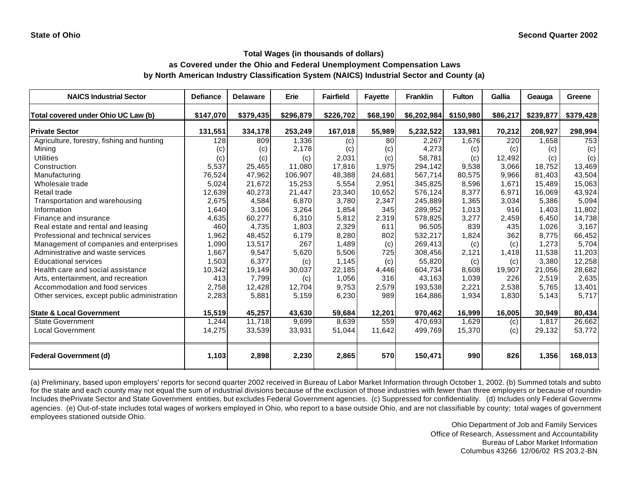## **as Covered under the Ohio and Federal Unemployment Compensation Laws by North American Industry Classification System (NAICS) Industrial Sector and County (a)**

| <b>NAICS Industrial Sector</b>               | <b>Defiance</b> | <b>Delaware</b> | Erie               | <b>Fairfield</b> | <b>Fayette</b> | <b>Franklin</b> | <b>Fulton</b> | Gallia   | Geauga    | Greene    |
|----------------------------------------------|-----------------|-----------------|--------------------|------------------|----------------|-----------------|---------------|----------|-----------|-----------|
| Total covered under Ohio UC Law (b)          | \$147,070       | \$379,435       | \$296,879          | \$226,702        | \$68,190       | \$6,202,984     | \$150,980     | \$86,217 | \$239,877 | \$379,428 |
| <b>Private Sector</b>                        | 131,551         | 334,178         | 253,249            | 167,018          | 55,989         | 5,232,522       | 133,981       | 70,212   | 208,927   | 298,994   |
| Agriculture, forestry, fishing and hunting   | 128             | 809             | 1,336              | (c)              | 80             | 2,267           | 1,676         | 220      | 1,658     | 753       |
| Mining                                       | (c)             | (c)             | 2,178              | (c)              | (c)            | 4,273           | (c)           | (c)      | (c)       | (c)       |
| <b>Utilities</b>                             | (c)             | (c)             | (c)                | 2,031            | (c)            | 58,781          | (c)           | 12,492   | (c)       | (c)       |
| Construction                                 | 5,537           | 25,465          | 11,080             | 17,816           | 1,975          | 294,142         | 9,538         | 3,066    | 18,752    | 13,469    |
| Manufacturing                                | 76,524          | 47,962          | 106,907            | 48,388           | 24,681         | 567,714         | 80,575        | 9,966    | 81,403    | 43,504    |
| Wholesale trade                              | 5,024           | 21,672          | 15,253             | 5,554            | 2,951          | 345,825         | 8,596         | 1,671    | 15.489    | 15,063    |
| Retail trade                                 | 12.639          | 40,273          | 21,447             | 23,340           | 10,652         | 576,124         | 8.377         | 6.971    | 16.069    | 43,924    |
| Transportation and warehousing               | 2,675           | 4,584           | 6,870              | 3.780            | 2,347          | 245,889         | 1,365         | 3,034    | 5,386     | 5,094     |
| Information                                  | 1,640           | 3,106           | 3,264              | 1,854            | 345            | 289,952         | 1,013         | 916      | 1,403     | 11,802    |
| Finance and insurance                        | 4,635           | 60,277          | 6,310              | 5,812            | 2,319          | 578,825         | 3,277         | 2,459    | 6,450     | 14,738    |
| Real estate and rental and leasing           | 460             | 4,735           | 1,803              | 2,329            | 611            | 96,505          | 839           | 435      | 1,026     | 3,167     |
| Professional and technical services          | 1,962           | 48,452          | 6,179              | 8,280            | 802            | 532,217         | 1,824         | 362      | 8,775     | 66,452    |
| Management of companies and enterprises      | 1,090           | 13,517          | 267                | 1,489            | (c)            | 269,413         | (c)           | (c)      | 1,273     | 5,704     |
| Administrative and waste services            | 1,667           | 9,547           | 5,620              | 5,506            | 725            | 308,456         | 2,121         | 1,418    | 11,538    | 11,203    |
| <b>Educational services</b>                  | 1,503           | 6,377           | (c)                | 1,145            | (c)            | 55,820          | (c)           | (c)      | 3,380     | 12,258    |
| Health care and social assistance            | 10,342          | 19,149          | 30,037             | 22,185           | 4,446          | 604,734         | 8,608         | 19,907   | 21,056    | 28,682    |
| Arts, entertainment, and recreation          | 413             | 7,799           | (c)                | 1,056            | 316            | 43,163          | 1,039         | 226      | 2,519     | 2,635     |
| Accommodation and food services              | 2,758           | 12,428          | 12,704             | 9,753            | 2,579          | 193,538         | 2,221         | 2,538    | 5,765     | 13,401    |
| Other services, except public administration | 2,283           | 5,881           | 5,159              | 6,230            | 989            | 164,886         | 1,934         | 1,830    | 5,143     | 5,717     |
| <b>State &amp; Local Government</b>          | 15,519          | 45,257          | 43,630             | 59,684           | 12,201         | 970,462         | 16,999        | 16,005   | 30,949    | 80,434    |
| <b>State Government</b>                      | 1,244           | 11,718          | $\overline{9,699}$ | 8,639            | 559            | 470,693         | 1,629         | (c)      | 1,817     | 26,662    |
| <b>Local Government</b>                      | 14,275          | 33,539          | 33,931             | 51,044           | 11,642         | 499,769         | 15,370        | (c)      | 29,132    | 53,772    |
| <b>Federal Government (d)</b>                | 1,103           | 2,898           | 2,230              | 2,865            | 570            | 150,471         | 990           | 826      | 1,356     | 168,013   |

(a) Preliminary, based upon employers' reports for second quarter 2002 received in Bureau of Labor Market Information through October 1, 2002. (b) Summed totals and subto for the state and each county may not equal the sum of industrial divisions because of the exclusion of those industries with fewer than three employers or because of roundin Includes thePrivate Sector and State Government entities, but excludes Federal Government agencies. (c) Suppressed for confidentiality. (d) Includes only Federal Government agencies. (e) Out-of-state includes total wages of workers employed in Ohio, who report to a base outside Ohio, and are not classifiable by county; total wages of government employees stationed outside Ohio.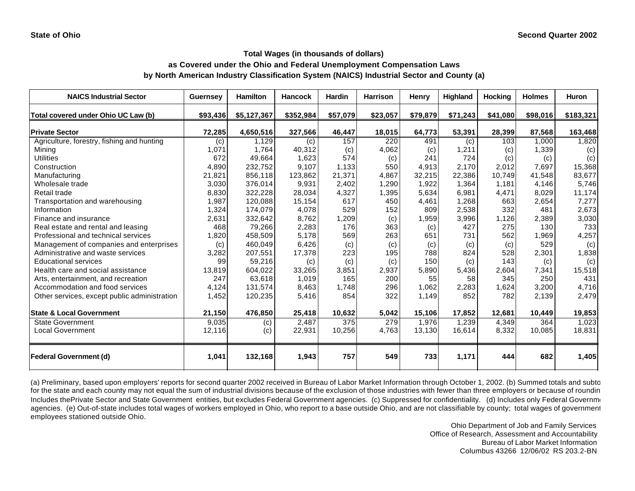## **as Covered under the Ohio and Federal Unemployment Compensation Laws by North American Industry Classification System (NAICS) Industrial Sector and County (a)**

| <b>NAICS Industrial Sector</b>               | <b>Guernsey</b> | <b>Hamilton</b> | <b>Hancock</b> | <b>Hardin</b> | <b>Harrison</b> | <b>Henry</b> | Highland | Hocking  | <b>Holmes</b> | Huron     |
|----------------------------------------------|-----------------|-----------------|----------------|---------------|-----------------|--------------|----------|----------|---------------|-----------|
| Total covered under Ohio UC Law (b)          | \$93,436        | \$5,127,367     | \$352,984      | \$57,079      | \$23,057        | \$79,879     | \$71,243 | \$41,080 | \$98,016      | \$183,321 |
| <b>Private Sector</b>                        | 72,285          | 4,650,516       | 327,566        | 46,447        | 18,015          | 64,773       | 53,391   | 28,399   | 87,568        | 163,468   |
| Agriculture, forestry, fishing and hunting   | (c)             | 1,129           | (c)            | 157           | 220             | 491          | (c)      | 103      | 1,000         | 1,820     |
| Mining                                       | 1,071           | 1.764           | 40,312         | (c)           | 4,062           | (c)          | 1,211    | (c)      | 1,339         | (c)       |
| Utilities                                    | 672             | 49,664          | 1,623          | 574           | (c)             | 241          | 724      | (c)      | (c)           | (c)       |
| Construction                                 | 4,890           | 232,752         | 9.107          | 1.133         | 550             | 4,913        | 2,170    | 2,012    | 7,697         | 15,368    |
| Manufacturing                                | 21,821          | 856,118         | 123,862        | 21,371        | 4.867           | 32,215       | 22,386   | 10.749   | 41.548        | 83,677    |
| Wholesale trade                              | 3,030           | 376,014         | 9,931          | 2,402         | 1,290           | 1,922        | 1,364    | 1,181    | 4,146         | 5,746     |
| Retail trade                                 | 8,830           | 322,228         | 28,034         | 4,327         | 1,395           | 5,634        | 6,981    | 4,471    | 8,029         | 11,174    |
| Transportation and warehousing               | 1,987           | 120,088         | 15,154         | 617           | 450             | 4,461        | 1,268    | 663      | 2,654         | 7,277     |
| Information                                  | 1,324           | 174,079         | 4,078          | 529           | 152             | 809          | 2,538    | 332      | 481           | 2,673     |
| Finance and insurance                        | 2,631           | 332,642         | 8,762          | 1,209         | (c)             | 1,959        | 3,996    | 1,126    | 2,389         | 3,030     |
| Real estate and rental and leasing           | 468             | 79,266          | 2,283          | 176           | 363             | (c)          | 427      | 275      | 130           | 733       |
| Professional and technical services          | 1,820           | 458,509         | 5.178          | 569           | 263             | 651          | 731      | 562      | 1.969         | 4,257     |
| Management of companies and enterprises      | (c)             | 460.049         | 6,426          | (c)           | (c)             | (c)          | (c)      | (c)      | 529           | (c)       |
| Administrative and waste services            | 3,282           | 207,551         | 17,378         | 223           | 195             | 788          | 824      | 528      | 2,301         | 1,838     |
| <b>Educational services</b>                  | 99              | 59,216          | (c)            | (c)           | (c)             | 150          | (c)      | 143      | (c)           | (c)       |
| Health care and social assistance            | 13,819          | 604.022         | 33,265         | 3,851         | 2,937           | 5,890        | 5,436    | 2.604    | 7,341         | 15,518    |
| Arts, entertainment, and recreation          | 247             | 63,618          | 1,019          | 165           | 200             | 55           | 58       | 345      | 250           | 431       |
| Accommodation and food services              | 4,124           | 131,574         | 8,463          | 1,748         | 296             | 1,062        | 2,283    | 1,624    | 3,200         | 4,716     |
| Other services, except public administration | 1,452           | 120,235         | 5,416          | 854           | 322             | 1,149        | 852      | 782      | 2,139         | 2,479     |
| <b>State &amp; Local Government</b>          | 21,150          | 476,850         | 25,418         | 10,632        | 5,042           | 15,106       | 17,852   | 12,681   | 10,449        | 19,853    |
| <b>State Government</b>                      | 9,035           | (c)             | 2,487          | 375           | 279             | 1,976        | 1,239    | 4,349    | 364           | 1,023     |
| <b>Local Government</b>                      | 12,116          | (c)             | 22,931         | 10,256        | 4,763           | 13,130       | 16,614   | 8,332    | 10,085        | 18,831    |
| Federal Government (d)                       | 1,041           | 132,168         | 1,943          | 757           | 549             | 733          | 1,171    | 444      | 682           | 1,405     |

(a) Preliminary, based upon employers' reports for second quarter 2002 received in Bureau of Labor Market Information through October 1, 2002. (b) Summed totals and subto for the state and each county may not equal the sum of industrial divisions because of the exclusion of those industries with fewer than three employers or because of roundin Includes thePrivate Sector and State Government entities, but excludes Federal Government agencies. (c) Suppressed for confidentiality. (d) Includes only Federal Government agencies. (e) Out-of-state includes total wages of workers employed in Ohio, who report to a base outside Ohio, and are not classifiable by county; total wages of government employees stationed outside Ohio.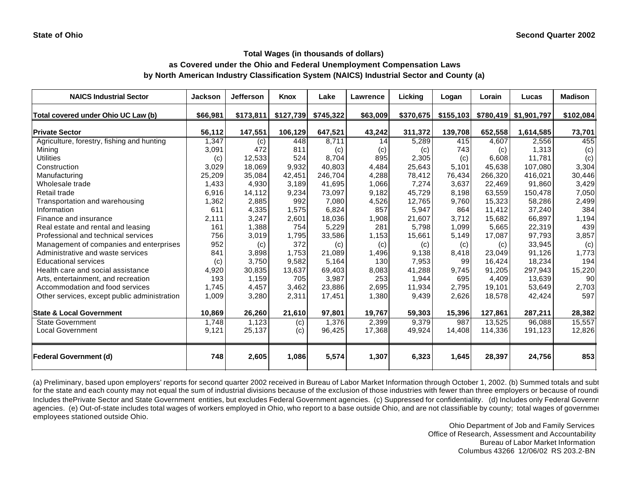## **as Covered under the Ohio and Federal Unemployment Compensation Laws by North American Industry Classification System (NAICS) Industrial Sector and County (a)**

| <b>NAICS Industrial Sector</b>               | Jackson  | <b>Jefferson</b> | Knox      | Lake      | Lawrence | Licking   | Logan     | Lorain  | Lucas                 | <b>Madison</b> |
|----------------------------------------------|----------|------------------|-----------|-----------|----------|-----------|-----------|---------|-----------------------|----------------|
| Total covered under Ohio UC Law (b)          | \$66,981 | \$173,811        | \$127,739 | \$745,322 | \$63,009 | \$370,675 | \$155,103 |         | \$780,419 \$1,901,797 | \$102,084      |
| <b>Private Sector</b>                        | 56,112   | 147,551          | 106,129   | 647,521   | 43,242   | 311,372   | 139,708   | 652,558 | 1,614,585             | 73,701         |
| Agriculture, forestry, fishing and hunting   | 1,347    | (c)              | 448       | 8,711     | 14       | 5,289     | 415       | 4,607   | 2,556                 | 455            |
| Mining                                       | 3,091    | 472              | 811       | (c)       | (c)      | (c)       | 743       | (c)     | 1,313                 | (c)            |
| <b>Utilities</b>                             | (c)      | 12,533           | 524       | 8,704     | 895      | 2,305     | (c)       | 6,608   | 11,781                | (c)            |
| Construction                                 | 3,029    | 18,069           | 9,932     | 40,803    | 4,484    | 25,643    | 5,101     | 45,638  | 107.080               | 3,304          |
| Manufacturing                                | 25,209   | 35.084           | 42,451    | 246,704   | 4,288    | 78,412    | 76,434    | 266,320 | 416,021               | 30,446         |
| Wholesale trade                              | 1,433    | 4,930            | 3,189     | 41,695    | 1,066    | 7,274     | 3,637     | 22,469  | 91,860                | 3,429          |
| Retail trade                                 | 6,916    | 14,112           | 9,234     | 73.097    | 9.182    | 45.729    | 8.198     | 63,559  | 150,478               | 7,050          |
| Transportation and warehousing               | 1,362    | 2,885            | 992       | 7,080     | 4,526    | 12,765    | 9,760     | 15,323  | 58,286                | 2,499          |
| Information                                  | 611      | 4,335            | 1,575     | 6,824     | 857      | 5,947     | 864       | 11,412  | 37,240                | 384            |
| Finance and insurance                        | 2,111    | 3,247            | 2,601     | 18,036    | 1,908    | 21,607    | 3,712     | 15,682  | 66,897                | 1,194          |
| Real estate and rental and leasing           | 161      | 1,388            | 754       | 5,229     | 281      | 5,798     | 1,099     | 5,665   | 22,319                | 439            |
| Professional and technical services          | 756      | 3,019            | 1,795     | 33,586    | 1,153    | 15,661    | 5,149     | 17,087  | 97,793                | 3,857          |
| Management of companies and enterprises      | 952      | (c)              | 372       | (c)       | (c)      | (c)       | (c)       | (c)     | 33,945                | (c)            |
| Administrative and waste services            | 841      | 3.898            | 1,753     | 21.089    | 1,496    | 9.138     | 8.418     | 23.049  | 91.126                | 1,773          |
| <b>Educational services</b>                  | (c)      | 3,750            | 9,582     | 5,164     | 130      | 7,953     | 99        | 16,424  | 18,234                | 194            |
| Health care and social assistance            | 4,920    | 30,835           | 13,637    | 69,403    | 8,083    | 41,288    | 9,745     | 91,205  | 297,943               | 15,220         |
| Arts, entertainment, and recreation          | 193      | 1,159            | 705       | 3,987     | 253      | 1,944     | 695       | 4,409   | 13,639                | 90             |
| Accommodation and food services              | 1,745    | 4,457            | 3,462     | 23,886    | 2,695    | 11,934    | 2,795     | 19,101  | 53,649                | 2,703          |
| Other services, except public administration | 1,009    | 3,280            | 2,311     | 17,451    | 1,380    | 9,439     | 2,626     | 18,578  | 42,424                | 597            |
| <b>State &amp; Local Government</b>          | 10,869   | 26,260           | 21,610    | 97,801    | 19,767   | 59,303    | 15,396    | 127,861 | 287,211               | 28,382         |
| <b>State Government</b>                      | 1.748    | 1,123            | (c)       | 1.376     | 2,399    | 9,379     | 987       | 13.525  | 96.088                | 15,557         |
| <b>Local Government</b>                      | 9,121    | 25,137           | (c)       | 96,425    | 17,368   | 49,924    | 14,408    | 114,336 | 191,123               | 12,826         |
| <b>Federal Government (d)</b>                | 748      | 2,605            | 1,086     | 5,574     | 1,307    | 6,323     | 1,645     | 28,397  | 24,756                | 853            |

(a) Preliminary, based upon employers' reports for second quarter 2002 received in Bureau of Labor Market Information through October 1, 2002. (b) Summed totals and subt for the state and each county may not equal the sum of industrial divisions because of the exclusion of those industries with fewer than three employers or because of roundi Includes thePrivate Sector and State Government entities, but excludes Federal Government agencies. (c) Suppressed for confidentiality. (d) Includes only Federal Government agencies. (e) Out-of-state includes total wages of workers employed in Ohio, who report to a base outside Ohio, and are not classifiable by county; total wages of government employees stationed outside Ohio.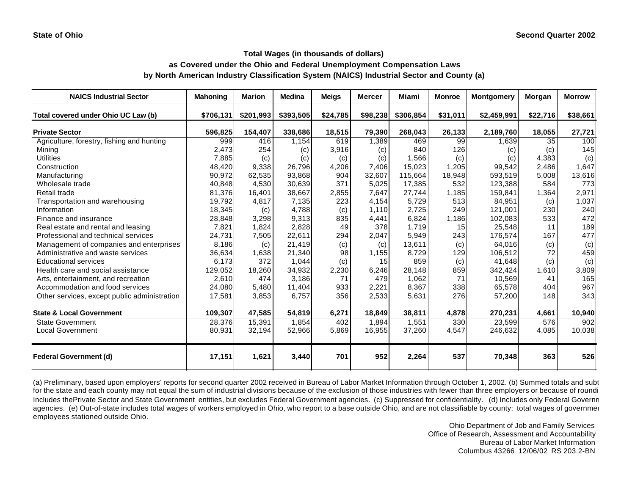## **as Covered under the Ohio and Federal Unemployment Compensation Laws by North American Industry Classification System (NAICS) Industrial Sector and County (a)**

| <b>NAICS Industrial Sector</b>               | <b>Mahoning</b> | <b>Marion</b> | <b>Medina</b> | <b>Meigs</b> | Mercer   | <b>Miami</b> | <b>Monroe</b> | <b>Montgomery</b> | Morgan   | <b>Morrow</b> |
|----------------------------------------------|-----------------|---------------|---------------|--------------|----------|--------------|---------------|-------------------|----------|---------------|
| Total covered under Ohio UC Law (b)          | \$706,131       | \$201,993     | \$393,505     | \$24,785     | \$98,238 | \$306,854    | \$31,011      | \$2,459,991       | \$22,716 | \$38,661      |
| <b>Private Sector</b>                        | 596,825         | 154,407       | 338,686       | 18,515       | 79,390   | 268,043      | 26,133        | 2,189,760         | 18,055   | 27,721        |
| Agriculture, forestry, fishing and hunting   | 999             | 416           | 1,154         | 619          | 1,389    | 469          | 99            | 1,639             | 35       | 100           |
| Mining                                       | 2,473           | 254           | (c)           | 3,916        | (c)      | 840          | 126           | (c)               | (c)      | 145           |
| <b>Utilities</b>                             | 7,885           | (c)           | (c)           | (c)          | (c)      | 1,566        | (c)           | (c)               | 4,383    | (c)           |
| Construction                                 | 48,420          | 9,338         | 26,796        | 4,206        | 7,406    | 15,023       | 1,205         | 99,542            | 2,486    | 1,647         |
| Manufacturing                                | 90,972          | 62,535        | 93,868        | 904          | 32,607   | 115,664      | 18,948        | 593,519           | 5,008    | 13,616        |
| Wholesale trade                              | 40,848          | 4,530         | 30,639        | 371          | 5,025    | 17,385       | 532           | 123,388           | 584      | 773           |
| Retail trade                                 | 81,376          | 16.401        | 38,667        | 2,855        | 7.647    | 27,744       | 1,185         | 159,841           | 1,364    | 2,971         |
| Transportation and warehousing               | 19,792          | 4,817         | 7,135         | 223          | 4,154    | 5,729        | 513           | 84,951            | (c)      | 1,037         |
| Information                                  | 18,345          | (c)           | 4,788         | (c)          | 1,110    | 2,725        | 249           | 121,001           | 230      | 240           |
| Finance and insurance                        | 28,848          | 3,298         | 9,313         | 835          | 4,441    | 6,824        | 1,186         | 102,083           | 533      | 472           |
| Real estate and rental and leasing           | 7,821           | 1,824         | 2,828         | 49           | 378      | 1.719        | 15            | 25,548            | 11       | 189           |
| Professional and technical services          | 24,731          | 7,505         | 22,611        | 294          | 2,047    | 5,949        | 243           | 176,574           | 167      | 477           |
| Management of companies and enterprises      | 8,186           | (c)           | 21,419        | (c)          | (c)      | 13,611       | (c)           | 64,016            | (c)      | (c)           |
| Administrative and waste services            | 36,634          | 1,638         | 21,340        | 98           | 1,155    | 8,729        | 129           | 106,512           | 72       | 459           |
| <b>Educational services</b>                  | 6,173           | 372           | 1,044         | (c)          | 15       | 859          | (c)           | 41,648            | (c)      | (c)           |
| Health care and social assistance            | 129,052         | 18,260        | 34,932        | 2,230        | 6,246    | 28,148       | 859           | 342,424           | 1,610    | 3,809         |
| Arts, entertainment, and recreation          | 2,610           | 474           | 3,186         | 71           | 479      | 1,062        | 71            | 10,569            | 41       | 165           |
| Accommodation and food services              | 24,080          | 5,480         | 11,404        | 933          | 2,221    | 8,367        | 338           | 65,578            | 404      | 967           |
| Other services, except public administration | 17,581          | 3,853         | 6,757         | 356          | 2,533    | 5,631        | 276           | 57,200            | 148      | 343           |
| <b>State &amp; Local Government</b>          | 109,307         | 47,585        | 54,819        | 6,271        | 18,849   | 38,811       | 4,878         | 270,231           | 4,661    | 10,940        |
| <b>State Government</b>                      | 28,376          | 15,391        | 1,854         | 402          | 1,894    | 1,551        | 330           | 23,599            | 576      | 902           |
| <b>Local Government</b>                      | 80,931          | 32,194        | 52,966        | 5,869        | 16,955   | 37,260       | 4,547         | 246,632           | 4,085    | 10,038        |
| <b>Federal Government (d)</b>                | 17,151          | 1,621         | 3,440         | 701          | 952      | 2,264        | 537           | 70,348            | 363      | 526           |

(a) Preliminary, based upon employers' reports for second quarter 2002 received in Bureau of Labor Market Information through October 1, 2002. (b) Summed totals and subt for the state and each county may not equal the sum of industrial divisions because of the exclusion of those industries with fewer than three employers or because of roundi Includes thePrivate Sector and State Government entities, but excludes Federal Government agencies. (c) Suppressed for confidentiality. (d) Includes only Federal Government agencies. (e) Out-of-state includes total wages of workers employed in Ohio, who report to a base outside Ohio, and are not classifiable by county; total wages of government employees stationed outside Ohio.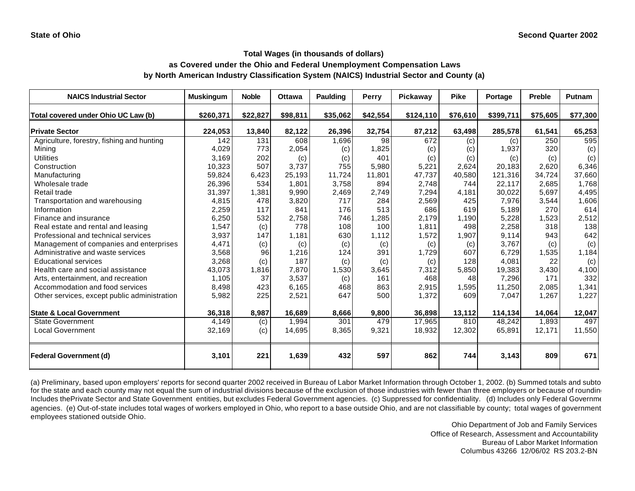## **as Covered under the Ohio and Federal Unemployment Compensation Laws by North American Industry Classification System (NAICS) Industrial Sector and County (a)**

| <b>NAICS Industrial Sector</b>               | <b>Muskingum</b> | <b>Noble</b> | <b>Ottawa</b> | Paulding | Perry    | Pickaway  | <b>Pike</b> | Portage   | Preble   | <b>Putnam</b> |
|----------------------------------------------|------------------|--------------|---------------|----------|----------|-----------|-------------|-----------|----------|---------------|
| Total covered under Ohio UC Law (b)          | \$260,371        | \$22,827     | \$98,811      | \$35,062 | \$42,554 | \$124,110 | \$76,610    | \$399,711 | \$75,605 | \$77,300      |
| <b>Private Sector</b>                        | 224,053          | 13,840       | 82,122        | 26,396   | 32,754   | 87,212    | 63,498      | 285,578   | 61,541   | 65,253        |
| Agriculture, forestry, fishing and hunting   | 142              | 131          | 608           | 1,696    | 98       | 672       | (c)         | (c)       | 250      | 595           |
| Mining                                       | 4,029            | 773          | 2,054         | (c)      | 1,825    | (c)       | (c)         | 1,937     | 320      | (c)           |
| <b>Utilities</b>                             | 3,169            | 202          | (c)           | (c)      | 401      | (c)       | (c)         | (c)       | (c)      | (c)           |
| Construction                                 | 10,323           | 507          | 3.737         | 755      | 5,980    | 5,221     | 2,624       | 20,183    | 2,620    | 6,346         |
| Manufacturing                                | 59,824           | 6,423        | 25,193        | 11,724   | 11,801   | 47,737    | 40,580      | 121,316   | 34,724   | 37,660        |
| Wholesale trade                              | 26,396           | 534          | 1,801         | 3,758    | 894      | 2,748     | 744         | 22,117    | 2.685    | 1,768         |
| Retail trade                                 | 31,397           | 1,381        | 9,990         | 2,469    | 2,749    | 7.294     | 4,181       | 30,022    | 5.697    | 4,495         |
| Transportation and warehousing               | 4,815            | 478          | 3,820         | 717      | 284      | 2,569     | 425         | 7,976     | 3,544    | 1,606         |
| Information                                  | 2,259            | 117          | 841           | 176      | 513      | 686       | 619         | 5,189     | 270      | 614           |
| Finance and insurance                        | 6,250            | 532          | 2,758         | 746      | 1,285    | 2,179     | 1,190       | 5,228     | 1,523    | 2,512         |
| Real estate and rental and leasing           | 1,547            | (c)          | 778           | 108      | 100      | 1,811     | 498         | 2,258     | 318      | 138           |
| Professional and technical services          | 3,937            | 147          | 1.181         | 630      | 1,112    | 1,572     | 1,907       | 9,114     | 943      | 642           |
| Management of companies and enterprises      | 4,471            | (c)          | (c)           | (c)      | (c)      | (c)       | (c)         | 3,767     | (c)      | (c)           |
| Administrative and waste services            | 3,568            | 96           | 1.216         | 124      | 391      | 1,729     | 607         | 6,729     | 1,535    | 1,184         |
| <b>Educational services</b>                  | 3,268            | (c)          | 187           | (c)      | (c)      | (c)       | 128         | 4,081     | 22       | (c)           |
| Health care and social assistance            | 43,073           | 1,816        | 7,870         | 1,530    | 3,645    | 7,312     | 5,850       | 19,383    | 3,430    | 4,100         |
| Arts, entertainment, and recreation          | 1,105            | 37           | 3,537         | (c)      | 161      | 468       | 48          | 7,296     | 171      | 332           |
| Accommodation and food services              | 8,498            | 423          | 6,165         | 468      | 863      | 2,915     | 1,595       | 11,250    | 2,085    | 1,341         |
| Other services, except public administration | 5,982            | 225          | 2,521         | 647      | 500      | 1,372     | 609         | 7,047     | 1,267    | 1,227         |
|                                              |                  |              |               |          |          |           |             |           |          |               |
| <b>State &amp; Local Government</b>          | 36,318           | 8,987        | 16,689        | 8,666    | 9,800    | 36,898    | 13,112      | 114,134   | 14.064   | 12,047        |
| <b>State Government</b>                      | 4,149            | (c)          | 1,994         | 301      | 479      | 17,965    | 810         | 48,242    | 1,893    | 497           |
| <b>Local Government</b>                      | 32,169           | (c)          | 14,695        | 8,365    | 9,321    | 18,932    | 12,302      | 65,891    | 12,171   | 11,550        |
| <b>Federal Government (d)</b>                | 3,101            | 221          | 1,639         | 432      | 597      | 862       | 744         | 3,143     | 809      | 671           |

(a) Preliminary, based upon employers' reports for second quarter 2002 received in Bureau of Labor Market Information through October 1, 2002. (b) Summed totals and subto for the state and each county may not equal the sum of industrial divisions because of the exclusion of those industries with fewer than three employers or because of roundin Includes thePrivate Sector and State Government entities, but excludes Federal Government agencies. (c) Suppressed for confidentiality. (d) Includes only Federal Government agencies. (e) Out-of-state includes total wages of workers employed in Ohio, who report to a base outside Ohio, and are not classifiable by county; total wages of government employees stationed outside Ohio.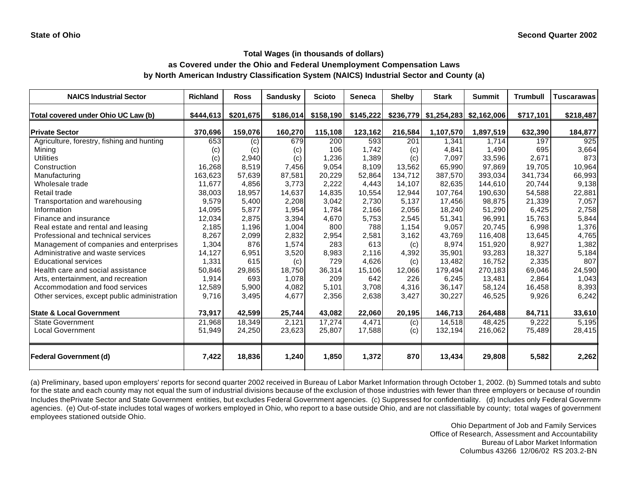# **as Covered under the Ohio and Federal Unemployment Compensation Laws by North American Industry Classification System (NAICS) Industrial Sector and County (a)**

| <b>NAICS Industrial Sector</b>               | <b>Richland</b> | <b>Ross</b> | <b>Sandusky</b> | <b>Scioto</b> | <b>Seneca</b> | <b>Shelby</b> | <b>Stark</b>                         | <b>Summit</b> | <b>Trumbull</b> | <b>Tuscarawas</b> |
|----------------------------------------------|-----------------|-------------|-----------------|---------------|---------------|---------------|--------------------------------------|---------------|-----------------|-------------------|
| Total covered under Ohio UC Law (b)          | \$444,613       | \$201,675   | \$186,014       | \$158,190     | \$145,222     |               | $$236,779$ $$1,254,283$ $$2,162,006$ |               | \$717,101       | \$218,487         |
| <b>Private Sector</b>                        | 370,696         | 159,076     | 160,270         | 115,108       | 123,162       | 216,584       | 1,107,570                            | 1,897,519     | 632,390         | 184,877           |
| Agriculture, forestry, fishing and hunting   | 653             | (c)         | 679             | 200           | 593           | 201           | 1,341                                | 1.714         | 197             | 925               |
| Minina                                       | (c)             | (c)         | (c)             | 106           | 1.742         | (c)           | 4,841                                | 1,490         | 695             | 3,664             |
| <b>Utilities</b>                             | (c)             | 2,940       | (c)             | 1,236         | 1,389         | (c)           | 7,097                                | 33,596        | 2,671           | 873               |
| Construction                                 | 16,268          | 8,519       | 7,456           | 9,054         | 8,109         | 13,562        | 65,990                               | 97,869        | 19,705          | 10,964            |
| Manufacturing                                | 163,623         | 57,639      | 87,581          | 20,229        | 52,864        | 134,712       | 387,570                              | 393,034       | 341,734         | 66,993            |
| Wholesale trade                              | 11,677          | 4,856       | 3,773           | 2,222         | 4,443         | 14,107        | 82,635                               | 144,610       | 20,744          | 9,138             |
| Retail trade                                 | 38.003          | 18,957      | 14,637          | 14,835        | 10,554        | 12.944        | 107.764                              | 190,630       | 54,588          | 22,881            |
| Transportation and warehousing               | 9,579           | 5,400       | 2,208           | 3,042         | 2,730         | 5,137         | 17,456                               | 98,875        | 21,339          | 7,057             |
| Information                                  | 14,095          | 5,877       | 1,954           | 1,784         | 2,166         | 2,056         | 18,240                               | 51,290        | 6,425           | 2,758             |
| Finance and insurance                        | 12,034          | 2,875       | 3,394           | 4,670         | 5,753         | 2,545         | 51,341                               | 96,991        | 15,763          | 5,844             |
| Real estate and rental and leasing           | 2,185           | 1,196       | 1,004           | 800           | 788           | 1,154         | 9,057                                | 20,745        | 6,998           | 1,376             |
| Professional and technical services          | 8,267           | 2,099       | 2,832           | 2,954         | 2,581         | 3,162         | 43,769                               | 116,408       | 13,645          | 4,765             |
| Management of companies and enterprises      | 1,304           | 876         | 1,574           | 283           | 613           | (c)           | 8,974                                | 151,920       | 8,927           | 1,382             |
| Administrative and waste services            | 14,127          | 6,951       | 3,520           | 8,983         | 2,116         | 4,392         | 35,901                               | 93,283        | 18,327          | 5,184             |
| <b>Educational services</b>                  | 1,331           | 615         | (c)             | 729           | 4,626         | (c)           | 13,482                               | 16,752        | 2,335           | 807               |
| Health care and social assistance            | 50,846          | 29,865      | 18,750          | 36,314        | 15,106        | 12,066        | 179,494                              | 270,183       | 69,046          | 24,590            |
| Arts, entertainment, and recreation          | 1,914           | 693         | 1,078           | 209           | 642           | 226           | 6,245                                | 13,481        | 2,864           | 1,043             |
| Accommodation and food services              | 12,589          | 5,900       | 4,082           | 5,101         | 3,708         | 4,316         | 36,147                               | 58,124        | 16,458          | 8,393             |
| Other services, except public administration | 9,716           | 3,495       | 4,677           | 2,356         | 2,638         | 3,427         | 30,227                               | 46,525        | 9,926           | 6,242             |
| <b>State &amp; Local Government</b>          | 73,917          | 42,599      | 25,744          | 43,082        | 22,060        | 20,195        | 146,713                              | 264,488       | 84,711          | 33,610            |
| <b>State Government</b>                      | 21,968          | 18,349      | 2,121           | 17,274        | 4,471         | (c)           | 14,518                               | 48,425        | 9,222           | 5,195             |
| Local Government                             | 51,949          | 24,250      | 23,623          | 25,807        | 17,588        | (c)           | 132,194                              | 216,062       | 75,489          | 28,415            |
| <b>Federal Government (d)</b>                | 7,422           | 18,836      | 1,240           | 1,850         | 1,372         | 870           | 13,434                               | 29,808        | 5,582           | 2,262             |

(a) Preliminary, based upon employers' reports for second quarter 2002 received in Bureau of Labor Market Information through October 1, 2002. (b) Summed totals and subto for the state and each county may not equal the sum of industrial divisions because of the exclusion of those industries with fewer than three employers or because of roundin Includes thePrivate Sector and State Government entities, but excludes Federal Government agencies. (c) Suppressed for confidentiality. (d) Includes only Federal Government agencies. (e) Out-of-state includes total wages of workers employed in Ohio, who report to a base outside Ohio, and are not classifiable by county; total wages of government employees stationed outside Ohio.